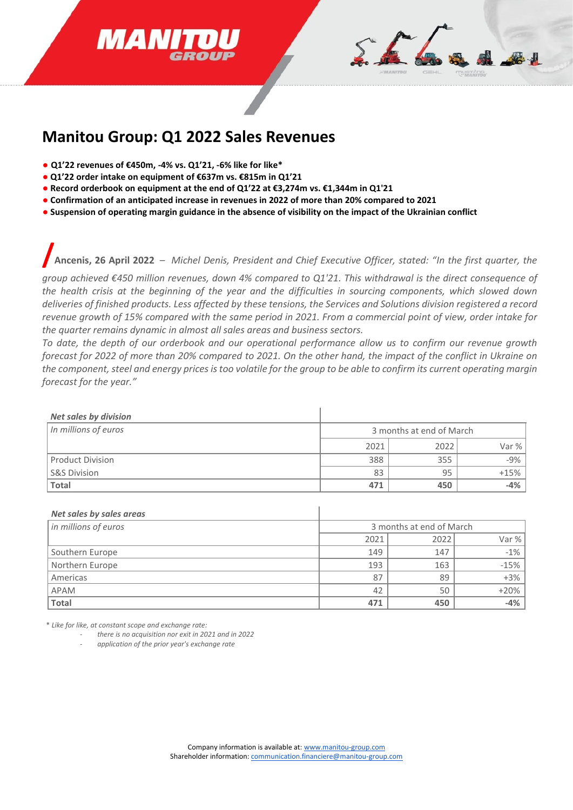



## **Manitou Group: Q1 2022 Sales Revenues**

- **Q1'22 revenues of €450m, -4% vs. Q1'21, -6% like for like\***
- **Q1'22 order intake on equipment of €637m vs. €815m in Q1'21**
- **Record orderbook on equipment at the end of Q1'22 at €3,274m vs. €1,344m in Q1'21**
- **Confirmation of an anticipated increase in revenues in 2022 of more than 20% compared to 2021**
- **Suspension of operating margin guidance in the absence of visibility on the impact of the Ukrainian conflict**

**/Ancenis, 26 April 2022** – *Michel Denis, President and Chief Executive Officer, stated: "In the first quarter, the* 

*group achieved €450 million revenues, down 4% compared to Q1'21. This withdrawal is the direct consequence of the health crisis at the beginning of the year and the difficulties in sourcing components, which slowed down deliveries of finished products. Less affected by these tensions, the Services and Solutions division registered a record revenue growth of 15% compared with the same period in 2021. From a commercial point of view, order intake for the quarter remains dynamic in almost all sales areas and business sectors.* 

*To date, the depth of our orderbook and our operational performance allow us to confirm our revenue growth forecast for 2022 of more than 20% compared to 2021. On the other hand, the impact of the conflict in Ukraine on the component, steel and energy prices is too volatile for the group to be able to confirm its current operating margin forecast for the year."*

| <b>Net sales by division</b> |                          |      |        |
|------------------------------|--------------------------|------|--------|
| In millions of euros         | 3 months at end of March |      |        |
|                              | 2021                     | 2022 | Var %  |
| <b>Product Division</b>      | 388                      | 355  | $-9%$  |
| <b>S&amp;S Division</b>      | 83                       | 95   | $+15%$ |
| <b>Total</b>                 | 471                      | 450  | $-4%$  |

| Net sales by sales areas |                          |      |         |
|--------------------------|--------------------------|------|---------|
| in millions of euros     | 3 months at end of March |      |         |
|                          | 2021                     | 2022 | Var $%$ |
| Southern Europe          | 149                      | 147  | $-1\%$  |
| Northern Europe          | 193                      | 163  | $-15%$  |
| Americas                 | 87                       | 89   | $+3\%$  |
| <b>APAM</b>              | 42                       | 50   | $+20%$  |
| <b>Total</b>             | 471                      | 450  | $-4\%$  |

 $\mathbf{I}$ 

\* *Like for like, at constant scope and exchange rate:* 

- *there is no acquisition nor exit in 2021 and in 2022*
- *application of the prior year's exchange rate*